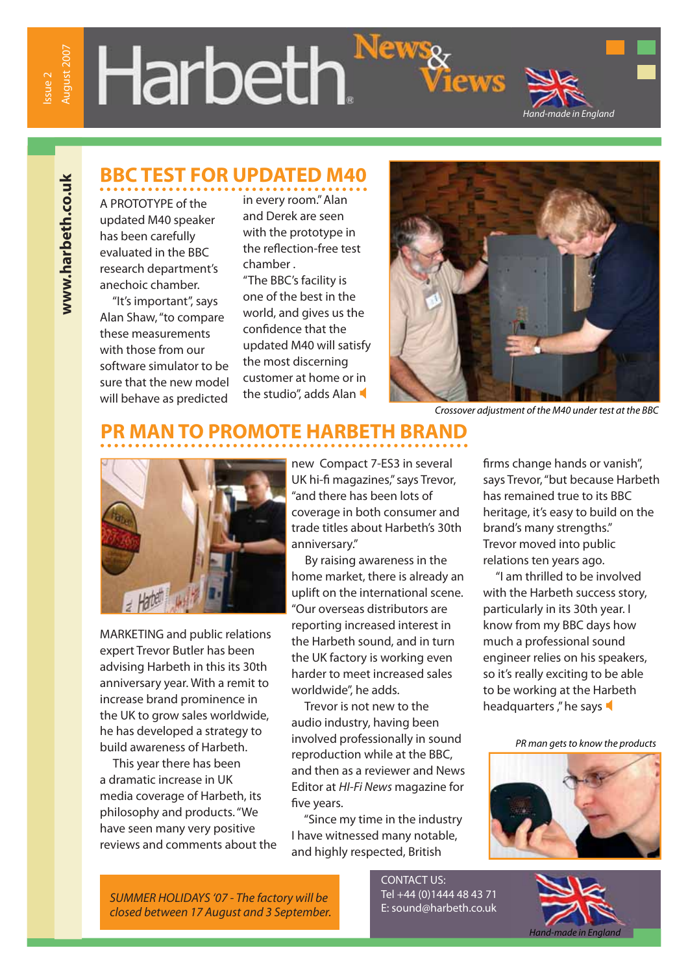# Harbeth.<sup>Ne</sup>



#### **BBC TEST FOR UPDATED M40**

www.harbeth.co.uk  **www.harbeth.co.uk**

A PROTOTYPE of the updated M40 speaker has been carefully evaluated in the BBC research department's anechoic chamber.

 "It's important", says Alan Shaw, "to compare these measurements with those from our software simulator to be sure that the new model will behave as predicted

in every room." Alan and Derek are seen with the prototype in the reflection-free test chamber .

"The BBC's facility is one of the best in the world, and gives us the confidence that the updated M40 will satisfy the most discerning customer at home or in the studio", adds Alan



ews

Crossover adjustment of the M40 under test at the BBC

## **PR MAN TO PROMOTE HARBETH BRAND**



MARKETING and public relations expert Trevor Butler has been advising Harbeth in this its 30th anniversary year. With a remit to increase brand prominence in the UK to grow sales worldwide, he has developed a strategy to build awareness of Harbeth.

 This year there has been a dramatic increase in UK media coverage of Harbeth, its philosophy and products. "We have seen many very positive reviews and comments about the new Compact 7-ES3 in several UK hi-fi magazines," says Trevor, "and there has been lots of coverage in both consumer and trade titles about Harbeth's 30th anniversary."

 By raising awareness in the home market, there is already an uplift on the international scene. "Our overseas distributors are reporting increased interest in the Harbeth sound, and in turn the UK factory is working even harder to meet increased sales worldwide", he adds.

 Trevor is not new to the audio industry, having been involved professionally in sound reproduction while at the BBC, and then as a reviewer and News Editor at HI-Fi News magazine for five years.

 "Since my time in the industry I have witnessed many notable, and highly respected, British

firms change hands or vanish", says Trevor, "but because Harbeth has remained true to its BBC heritage, it's easy to build on the brand's many strengths." Trevor moved into public relations ten years ago.

 "I am thrilled to be involved with the Harbeth success story, particularly in its 30th year. I know from my BBC days how much a professional sound engineer relies on his speakers, so it's really exciting to be able to be working at the Harbeth headquarters," he says

PR man gets to know the products



SUMMER HOLIDAYS '07 - The factory will be closed between 17 August and 3 September. CONTACT US: Tel +44 (0)1444 48 43 71<br>E: sound@harbeth.co.uk